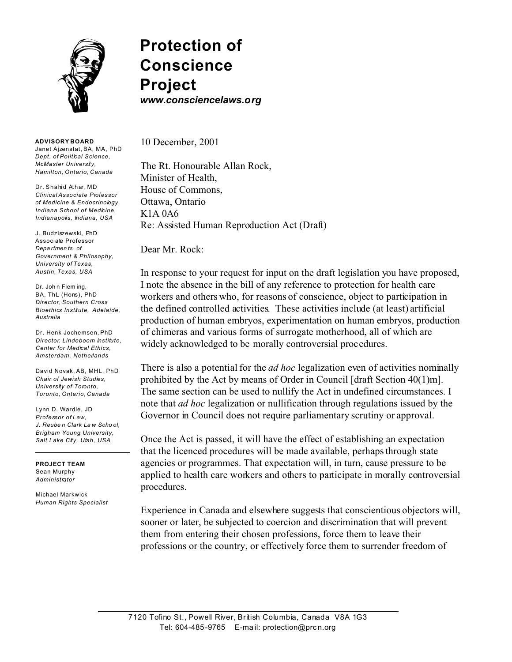

**Protection of Conscience Project** *www.consciencelaws.org*

**ADVISORY BOARD** Janet Ajzenstat, BA, MA, PhD *Dept. of Political Science, McMaster University,*

*Hamilton, Ontario, Canada* Dr. Shahid Athar, MD *Clinical Associate Professor of Medicine & Endocrinology, Indiana School of Medicine,*

J. Budziszewski, PhD Associate Professor *Depa rtmen ts of Government & Philosophy, University of Texas, Austin, Texas, USA*

*Indianapolis, Indiana, USA*

Dr. Joh n Flem ing, BA, ThL (Hons), PhD *Director, Southern Cross Bioethics Institute, Adelaide, Australia*

Dr. Henk Jochemsen, PhD *Director, Lindeboom Institute, Center for Medical Ethics, Amsterdam, Netherlands*

David Novak, AB, MHL, PhD *Chair of Jewish Studies, University of Toronto, Toronto, Ontario, Canada*

Lynn D. Wardle, JD *Professor of Law, J. Reube n Clark La w Scho ol, Brigham Young University, Salt Lake City, Utah, USA*

**PROJECT TEAM** Sean Murphy *Administrator*

Michael Markwick *Human Rights Specialist* 10 December, 2001

The Rt. Honourable Allan Rock, Minister of Health, House of Commons, Ottawa, Ontario K1A 0A6 Re: Assisted Human Reproduction Act (Draft)

Dear Mr. Rock:

In response to your request for input on the draft legislation you have proposed, I note the absence in the bill of any reference to protection for health care workers and others who, for reasons of conscience, object to participation in the defined controlled activities. These activities include (at least) artificial production of human embryos, experimentation on human embryos, production of chimeras and various forms of surrogate motherhood, all of which are widely acknowledged to be morally controversial procedures.

There is also a potential for the *ad hoc* legalization even of activities nominally prohibited by the Act by means of Order in Council [draft Section 40(1)m]. The same section can be used to nullify the Act in undefined circumstances. I note that *ad hoc* legalization or nullification through regulations issued by the Governor in Council does not require parliamentary scrutiny or approval.

Once the Act is passed, it will have the effect of establishing an expectation that the licenced procedures will be made available, perhaps through state agencies or programmes. That expectation will, in turn, cause pressure to be applied to health care workers and others to participate in morally controversial procedures.

Experience in Canada and elsewhere suggests that conscientious objectors will, sooner or later, be subjected to coercion and discrimination that will prevent them from entering their chosen professions, force them to leave their professions or the country, or effectively force them to surrender freedom of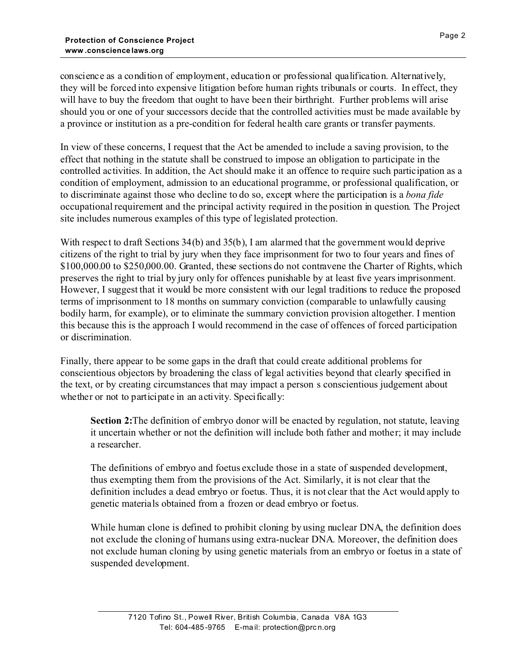conscience as a condition of employment, education or professional qualification. Alternatively, they will be forced into expensive litigation before human rights tribunals or courts. In effect, they will have to buy the freedom that ought to have been their birthright. Further problems will arise should you or one of your successors decide that the controlled activities must be made available by a province or institution as a pre-condition for federal health care grants or transfer payments.

In view of these concerns, I request that the Act be amended to include a saving provision, to the effect that nothing in the statute shall be construed to impose an obligation to participate in the controlled activities. In addition, the Act should make it an offence to require such participation as a condition of employment, admission to an educational programme, or professional qualification, or to discriminate against those who decline to do so, except where the participation is a *bona fide* occupational requirement and the principal activity required in the position in question. The Project site includes numerous examples of this type of legislated protection.

With respect to draft Sections 34(b) and 35(b), I am alarmed that the government would deprive citizens of the right to trial by jury when they face imprisonment for two to four years and fines of \$100,000.00 to \$250,000.00. Granted, these sections do not contravene the Charter of Rights, which preserves the right to trial by jury only for offences punishable by at least five years imprisonment. However, I suggest that it would be more consistent with our legal traditions to reduce the proposed terms of imprisonment to 18 months on summary conviction (comparable to unlawfully causing bodily harm, for example), or to eliminate the summary conviction provision altogether. I mention this because this is the approach I would recommend in the case of offences of forced participation or discrimination.

Finally, there appear to be some gaps in the draft that could create additional problems for conscientious objectors by broadening the class of legal activities beyond that clearly specified in the text, or by creating circumstances that may impact a person s conscientious judgement about whether or not to participate in an activity. Specifically:

**Section 2:** The definition of embryo donor will be enacted by regulation, not statute, leaving it uncertain whether or not the definition will include both father and mother; it may include a researcher.

The definitions of embryo and foetus exclude those in a state of suspended development, thus exempting them from the provisions of the Act. Similarly, it is not clear that the definition includes a dead embryo or foetus. Thus, it is not clear that the Act would apply to genetic materials obtained from a frozen or dead embryo or foetus.

While human clone is defined to prohibit cloning by using nuclear DNA, the definition does not exclude the cloning of humans using extra-nuclear DNA. Moreover, the definition does not exclude human cloning by using genetic materials from an embryo or foetus in a state of suspended development.